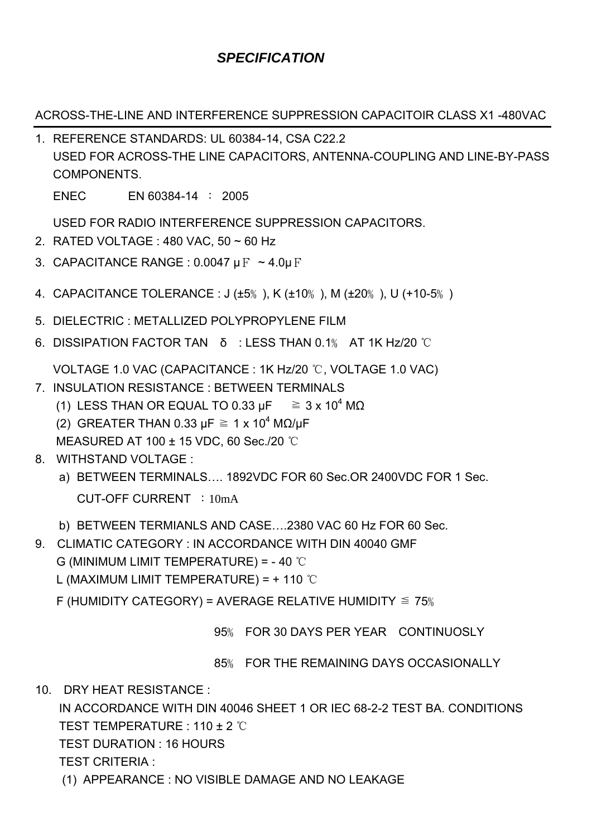## *SPECIFICATION*

ACROSS-THE-LINE AND INTERFERENCE SUPPRESSION CAPACITOIR CLASS X1 -480VAC

- 1. REFERENCE STANDARDS: UL 60384-14, CSA C22.2 USED FOR ACROSS-THE LINE CAPACITORS, ANTENNA-COUPLING AND LINE-BY-PASS COMPONENTS. ENEC EN 60384-14 : 2005 USED FOR RADIO INTERFERENCE SUPPRESSION CAPACITORS. 2. RATED VOLTAGE : 480 VAC, 50 ~ 60 Hz 3. CAPACITANCE RANGE : 0.0047  $\mu$  F  $\sim$  4.0 $\mu$  F 4. CAPACITANCE TOLERANCE : J (±5﹪), K (±10﹪), M (±20﹪), U (+10-5﹪) 5. DIELECTRIC : METALLIZED POLYPROPYLENE FILM 6. DISSIPATION FACTOR TAN δ : LESS THAN 0.1﹪ AT 1K Hz/20 ℃ VOLTAGE 1.0 VAC (CAPACITANCE : 1K Hz/20 ℃, VOLTAGE 1.0 VAC) 7. INSULATION RESISTANCE : BETWEEN TERMINALS (1) LESS THAN OR EQUAL TO 0.33 μF  $\geq 3 \times 10^4$  MΩ (2) GREATER THAN 0.33 μF  $\geq 1$  x 10<sup>4</sup> MΩ/μF MEASURED AT 100 ± 15 VDC, 60 Sec./20 ℃ 8. WITHSTAND VOLTAGE : a) BETWEEN TERMINALS…. 1892VDC FOR 60 Sec.OR 2400VDC FOR 1 Sec. CUT-OFF CURRENT :10mA b) BETWEEN TERMIANLS AND CASE….2380 VAC 60 Hz FOR 60 Sec. 9. CLIMATIC CATEGORY : IN ACCORDANCE WITH DIN 40040 GMF
	- G (MINIMUM LIMIT TEMPERATURE) = 40 ℃
		- L (MAXIMUM LIMIT TEMPERATURE) = + 110 ℃
		- F (HUMIDITY CATEGORY) = AVERAGE RELATIVE HUMIDITY  $\leq 75\%$ 
			- 95﹪ FOR 30 DAYS PER YEAR CONTINUOSLY

85﹪ FOR THE REMAINING DAYS OCCASIONALLY

10. DRY HEAT RESISTANCE :

IN ACCORDANCE WITH DIN 40046 SHEET 1 OR IEC 68-2-2 TEST BA. CONDITIONS TEST TEMPERATURE : 110 ± 2 ℃

TEST DURATION : 16 HOURS

TEST CRITERIA :

(1) APPEARANCE : NO VISIBLE DAMAGE AND NO LEAKAGE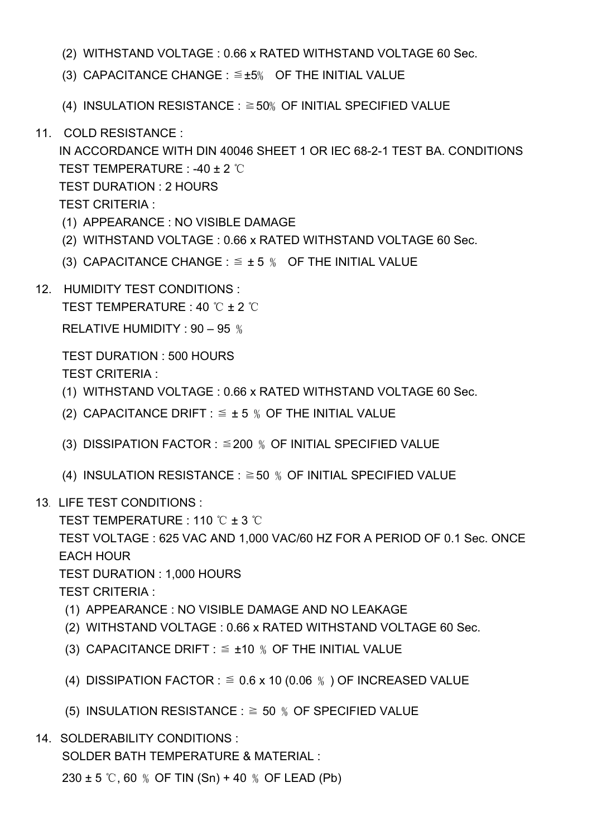- (2) WITHSTAND VOLTAGE : 0.66 x RATED WITHSTAND VOLTAGE 60 Sec.
- (3) CAPACITANCE CHANGE :  $\leq \pm 5$ % OF THE INITIAL VALUE
- (4) INSULATION RESISTANCE :  $\geq$  50% OF INITIAL SPECIFIED VALUE
- 11. COLD RESISTANCE :

IN ACCORDANCE WITH DIN 40046 SHEET 1 OR IEC 68-2-1 TEST BA. CONDITIONS TEST TEMPERATURE : -40 ± 2 ℃ TEST DURATION : 2 HOURS TEST CRITERIA :

- (1) APPEARANCE : NO VISIBLE DAMAGE
- (2) WITHSTAND VOLTAGE : 0.66 x RATED WITHSTAND VOLTAGE 60 Sec.
- (3) CAPACITANCE CHANGE :  $\leq \pm 5$  % OF THE INITIAL VALUE
- 12. HUMIDITY TEST CONDITIONS :

TEST TEMPERATURE : 40 ℃ ± 2 ℃

RELATIVE HUMIDITY : 90 – 95 ﹪

TEST DURATION : 500 HOURS TEST CRITERIA :

- (1) WITHSTAND VOLTAGE : 0.66 x RATED WITHSTAND VOLTAGE 60 Sec.
- (2) CAPACITANCE DRIFT :  $\leq \pm 5$  % OF THE INITIAL VALUE
- (3) DISSIPATION FACTOR :  $\leq$  200 % OF INITIAL SPECIFIED VALUE
- (4) INSULATION RESISTANCE :  $\geq$  50 % OF INITIAL SPECIFIED VALUE
- 13. LIFE TEST CONDITIONS :
	- TEST TEMPERATURE : 110 ℃ ± 3 ℃

TEST VOLTAGE : 625 VAC AND 1,000 VAC/60 HZ FOR A PERIOD OF 0.1 Sec. ONCE EACH HOUR

TEST DURATION : 1,000 HOURS

TEST CRITERIA :

- (1) APPEARANCE : NO VISIBLE DAMAGE AND NO LEAKAGE
- (2) WITHSTAND VOLTAGE : 0.66 x RATED WITHSTAND VOLTAGE 60 Sec.
- (3) CAPACITANCE DRIFT :  $\leq \pm 10$  % OF THE INITIAL VALUE
- (4) DISSIPATION FACTOR :  $\leq 0.6$  x 10 (0.06 %) OF INCREASED VALUE
- (5) INSULATION RESISTANCE :  $\geq$  50 % OF SPECIFIED VALUE
- 14. SOLDERABILITY CONDITIONS :

SOLDER BATH TEMPERATURE & MATERIAL :

 $230 \pm 5$  °C, 60 % OF TIN (Sn) + 40 % OF LEAD (Pb)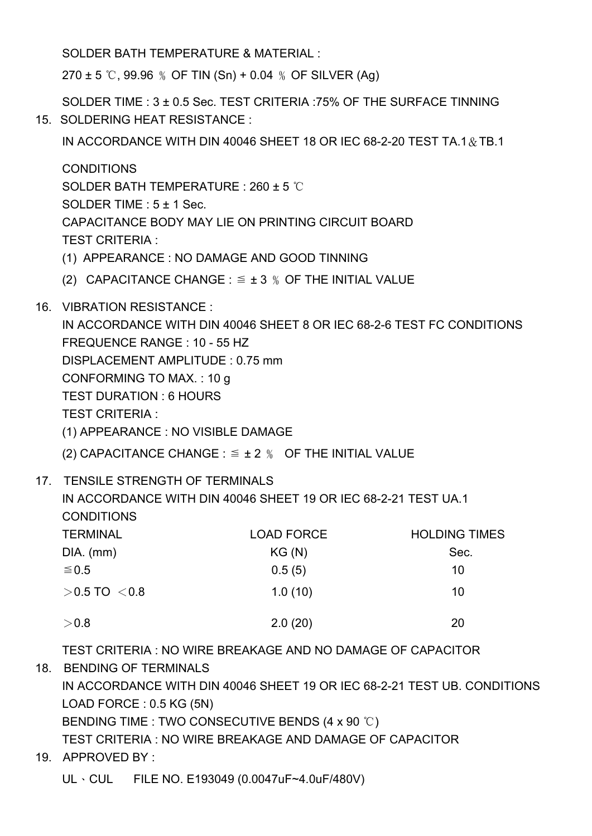SOLDER BATH TEMPERATURE & MATERIAL :

 $270 \pm 5$  °C, 99.96 % OF TIN (Sn) + 0.04 % OF SILVER (Ag)

SOLDER TIME : 3 ± 0.5 Sec. TEST CRITERIA :75% OF THE SURFACE TINNING 15. SOLDERING HEAT RESISTANCE :

IN ACCORDANCE WITH DIN 40046 SHEET 18 OR IEC 68-2-20 TEST TA.1&TB.1

**CONDITIONS** SOLDER BATH TEMPERATURE : 260 ± 5 ℃ SOLDER TIME : 5 ± 1 Sec. CAPACITANCE BODY MAY LIE ON PRINTING CIRCUIT BOARD TEST CRITERIA :

- (1) APPEARANCE : NO DAMAGE AND GOOD TINNING
- (2) CAPACITANCE CHANGE :  $\leq \pm 3$  % OF THE INITIAL VALUE
- 16. VIBRATION RESISTANCE :

IN ACCORDANCE WITH DIN 40046 SHEET 8 OR IEC 68-2-6 TEST FC CONDITIONS FREQUENCE RANGE : 10 - 55 HZ DISPLACEMENT AMPLITUDE : 0.75 mm CONFORMING TO MAX. : 10 g TEST DURATION : 6 HOURS TEST CRITERIA : (1) APPEARANCE : NO VISIBLE DAMAGE (2) CAPACITANCE CHANGE :  $\leq \pm 2$  % OF THE INITIAL VALUE

17. TENSILE STRENGTH OF TERMINALS

IN ACCORDANCE WITH DIN 40046 SHEET 19 OR IEC 68-2-21 TEST UA.1 **CONDITIONS** 

| <b>TERMINAL</b>    | <b>LOAD FORCE</b> | <b>HOLDING TIMES</b> |  |  |
|--------------------|-------------------|----------------------|--|--|
| $DIA.$ (mm)        | KG(N)             | Sec.                 |  |  |
| $\leq 0.5$         | 0.5(5)            | 10                   |  |  |
| $>$ 0.5 TO $<$ 0.8 | 1.0(10)           | 10                   |  |  |
| >0.8               | 2.0(20)           | 20                   |  |  |

TEST CRITERIA : NO WIRE BREAKAGE AND NO DAMAGE OF CAPACITOR

18. BENDING OF TERMINALS IN ACCORDANCE WITH DIN 40046 SHEET 19 OR IEC 68-2-21 TEST UB. CONDITIONS LOAD FORCE : 0.5 KG (5N) BENDING TIME : TWO CONSECUTIVE BENDS (4 x 90 °C) TEST CRITERIA : NO WIRE BREAKAGE AND DAMAGE OF CAPACITOR

19. APPROVED BY :

UL、CUL FILE NO. E193049 (0.0047uF~4.0uF/480V)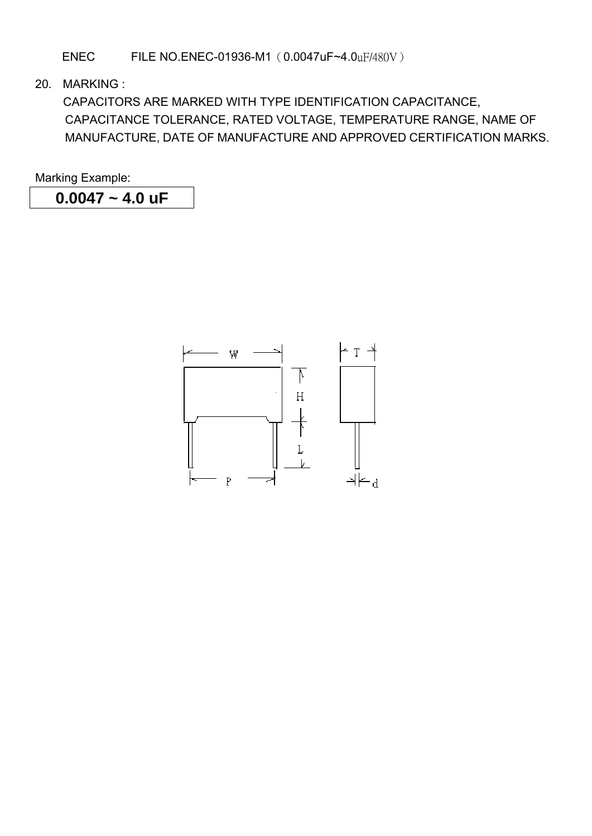ENEC FILE NO.ENEC-01936-M1(0.0047uF~4.0uF/480V)

20. MARKING :

 CAPACITORS ARE MARKED WITH TYPE IDENTIFICATION CAPACITANCE, CAPACITANCE TOLERANCE, RATED VOLTAGE, TEMPERATURE RANGE, NAME OF MANUFACTURE, DATE OF MANUFACTURE AND APPROVED CERTIFICATION MARKS.

Marking Example:

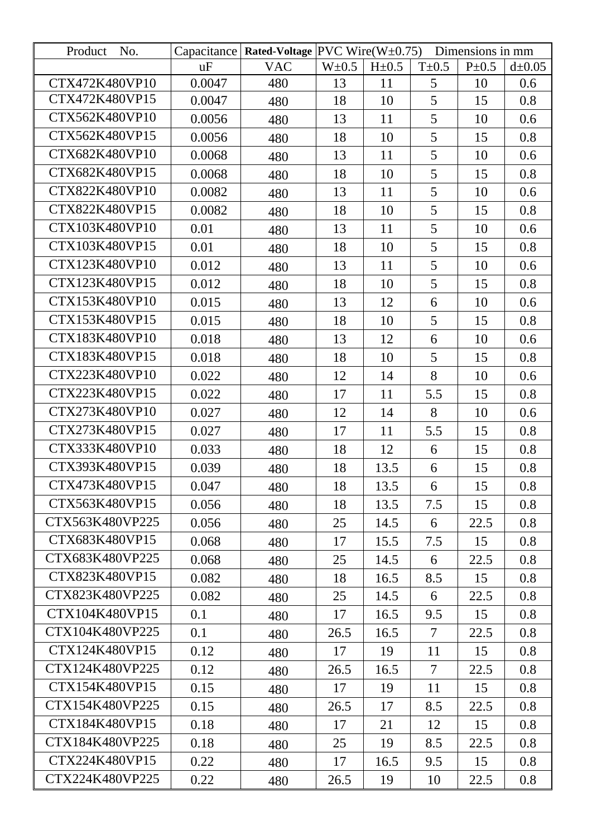| Product<br>No.  |        | Capacitance   Rated-Voltage   PVC Wire $(W \pm 0.75)$ |           |           |                | Dimensions in mm |             |
|-----------------|--------|-------------------------------------------------------|-----------|-----------|----------------|------------------|-------------|
|                 | uF     | <b>VAC</b>                                            | $W\pm0.5$ | $H\pm0.5$ | $T\pm 0.5$     | $P\pm 0.5$       | $d\pm 0.05$ |
| CTX472K480VP10  | 0.0047 | 480                                                   | 13        | 11        | 5              | 10               | 0.6         |
| CTX472K480VP15  | 0.0047 | 480                                                   | 18        | 10        | 5              | 15               | 0.8         |
| CTX562K480VP10  | 0.0056 | 480                                                   | 13        | 11        | 5              | 10               | 0.6         |
| CTX562K480VP15  | 0.0056 | 480                                                   | 18        | 10        | 5              | 15               | 0.8         |
| CTX682K480VP10  | 0.0068 | 480                                                   | 13        | 11        | 5              | 10               | 0.6         |
| CTX682K480VP15  | 0.0068 | 480                                                   | 18        | 10        | 5              | 15               | 0.8         |
| CTX822K480VP10  | 0.0082 | 480                                                   | 13        | 11        | 5              | 10               | 0.6         |
| CTX822K480VP15  | 0.0082 | 480                                                   | 18        | 10        | 5              | 15               | 0.8         |
| CTX103K480VP10  | 0.01   | 480                                                   | 13        | 11        | 5              | 10               | 0.6         |
| CTX103K480VP15  | 0.01   | 480                                                   | 18        | 10        | 5              | 15               | 0.8         |
| CTX123K480VP10  | 0.012  | 480                                                   | 13        | 11        | 5              | 10               | 0.6         |
| CTX123K480VP15  | 0.012  | 480                                                   | 18        | 10        | 5              | 15               | 0.8         |
| CTX153K480VP10  | 0.015  | 480                                                   | 13        | 12        | 6              | 10               | 0.6         |
| CTX153K480VP15  | 0.015  | 480                                                   | 18        | 10        | 5              | 15               | 0.8         |
| CTX183K480VP10  | 0.018  | 480                                                   | 13        | 12        | 6              | 10               | 0.6         |
| CTX183K480VP15  | 0.018  | 480                                                   | 18        | 10        | 5              | 15               | 0.8         |
| CTX223K480VP10  | 0.022  | 480                                                   | 12        | 14        | 8              | 10               | 0.6         |
| CTX223K480VP15  | 0.022  | 480                                                   | 17        | 11        | 5.5            | 15               | 0.8         |
| CTX273K480VP10  | 0.027  | 480                                                   | 12        | 14        | 8              | 10               | 0.6         |
| CTX273K480VP15  | 0.027  | 480                                                   | 17        | 11        | 5.5            | 15               | 0.8         |
| CTX333K480VP10  | 0.033  | 480                                                   | 18        | 12        | 6              | 15               | 0.8         |
| CTX393K480VP15  | 0.039  | 480                                                   | 18        | 13.5      | 6              | 15               | 0.8         |
| CTX473K480VP15  | 0.047  | 480                                                   | 18        | 13.5      | 6              | 15               | 0.8         |
| CTX563K480VP15  | 0.056  | 480                                                   | 18        | 13.5      | 7.5            | 15               | 0.8         |
| CTX563K480VP225 | 0.056  | 480                                                   | 25        | 14.5      | 6              | 22.5             | 0.8         |
| CTX683K480VP15  | 0.068  | 480                                                   | 17        | 15.5      | 7.5            | 15               | 0.8         |
| CTX683K480VP225 | 0.068  | 480                                                   | 25        | 14.5      | 6              | 22.5             | 0.8         |
| CTX823K480VP15  | 0.082  | 480                                                   | 18        | 16.5      | 8.5            | 15               | 0.8         |
| CTX823K480VP225 | 0.082  | 480                                                   | 25        | 14.5      | 6              | 22.5             | 0.8         |
| CTX104K480VP15  | 0.1    | 480                                                   | 17        | 16.5      | 9.5            | 15               | 0.8         |
| CTX104K480VP225 | 0.1    | 480                                                   | 26.5      | 16.5      | $\overline{7}$ | 22.5             | 0.8         |
| CTX124K480VP15  | 0.12   | 480                                                   | 17        | 19        | 11             | 15               | 0.8         |
| CTX124K480VP225 | 0.12   | 480                                                   | 26.5      | 16.5      | $\overline{7}$ | 22.5             | 0.8         |
| CTX154K480VP15  | 0.15   | 480                                                   | 17        | 19        | 11             | 15               | 0.8         |
| CTX154K480VP225 | 0.15   | 480                                                   | 26.5      | 17        | 8.5            | 22.5             | 0.8         |
| CTX184K480VP15  | 0.18   | 480                                                   | 17        | 21        | 12             | 15               | 0.8         |
| CTX184K480VP225 | 0.18   | 480                                                   | 25        | 19        | 8.5            | 22.5             | 0.8         |
| CTX224K480VP15  | 0.22   | 480                                                   | 17        | 16.5      | 9.5            | 15               | 0.8         |
| CTX224K480VP225 | 0.22   | 480                                                   | 26.5      | 19        | 10             | 22.5             | 0.8         |